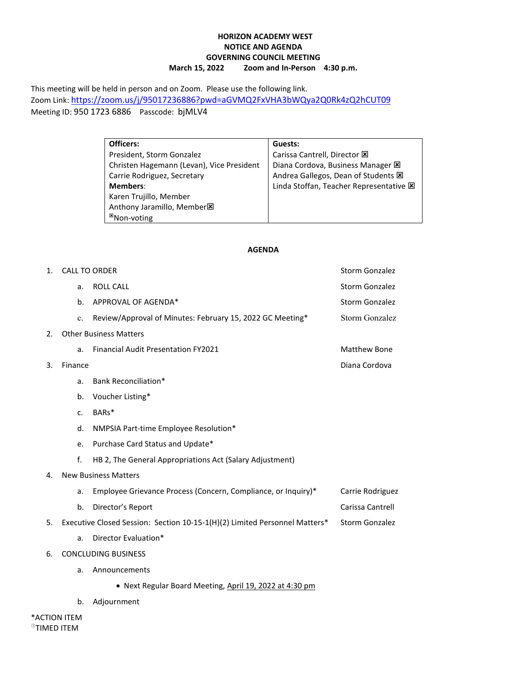## **HORIZON ACADEMY WEST NOTICE AND AGENDA GOVERNING COUNCIL MEETING March 15, 2022 Zoom and In-Person 4:30 p.m.**

This meeting will be held in person and on Zoom. Please use the following link. Zoom Link[: https://zoom.us/j/95017236886?pwd=aGVMQ2FxVHA3bWQya2Q0Rk4zQ2hCUT09](https://zoom.us/j/95017236886?pwd=aGVMQ2FxVHA3bWQya2Q0Rk4zQ2hCUT09) Meeting ID: 950 1723 6886 Passcode: bjMLV4

| Officers:                                 | Guests:                                       |  |  |
|-------------------------------------------|-----------------------------------------------|--|--|
| President, Storm Gonzalez                 | Carissa Cantrell, Director E                  |  |  |
| Christen Hagemann (Levan), Vice President | Diana Cordova, Business Manager E             |  |  |
| Carrie Rodriguez, Secretary               | Andrea Gallegos, Dean of Students $\boxtimes$ |  |  |
| <b>Members:</b>                           | Linda Stoffan, Teacher Representative E       |  |  |
| Karen Trujillo, Member                    |                                               |  |  |
| Anthony Jaramillo, Member <sup>18</sup>   |                                               |  |  |
| <sup>⊠</sup> Non-voting                   |                                               |  |  |

## **AGENDA**

| 1.                                      |         | <b>CALL TO ORDER</b>                                                       | <b>Storm Gonzalez</b> |
|-----------------------------------------|---------|----------------------------------------------------------------------------|-----------------------|
|                                         | a.      | <b>ROLL CALL</b>                                                           | <b>Storm Gonzalez</b> |
|                                         | b.      | APPROVAL OF AGENDA*                                                        | Storm Gonzalez        |
|                                         | c.      | Review/Approval of Minutes: February 15, 2022 GC Meeting*                  | Storm Gonzalez        |
| 2.                                      |         | <b>Other Business Matters</b>                                              |                       |
|                                         | a.      | <b>Financial Audit Presentation FY2021</b>                                 | <b>Matthew Bone</b>   |
| 3.                                      | Finance |                                                                            | Diana Cordova         |
|                                         | a.      | Bank Reconciliation*                                                       |                       |
|                                         | b.      | Voucher Listing*                                                           |                       |
|                                         | c.      | BARs*                                                                      |                       |
|                                         | d.      | NMPSIA Part-time Employee Resolution*                                      |                       |
|                                         | e.      | Purchase Card Status and Update*                                           |                       |
|                                         | f.      | HB 2, The General Appropriations Act (Salary Adjustment)                   |                       |
| 4.                                      |         | <b>New Business Matters</b>                                                |                       |
|                                         | a.      | Employee Grievance Process (Concern, Compliance, or Inquiry)*              | Carrie Rodriguez      |
|                                         | b.      | Director's Report                                                          | Carissa Cantrell      |
| 5.                                      |         | Executive Closed Session: Section 10-15-1(H)(2) Limited Personnel Matters* | Storm Gonzalez        |
|                                         | a.      | Director Evaluation*                                                       |                       |
| 6.                                      |         | <b>CONCLUDING BUSINESS</b>                                                 |                       |
|                                         | a.      | Announcements                                                              |                       |
|                                         |         | • Next Regular Board Meeting, April 19, 2022 at 4:30 pm                    |                       |
|                                         | b.      | Adjournment                                                                |                       |
| *ACTION ITEM<br><sup>®</sup> TIMED ITEM |         |                                                                            |                       |